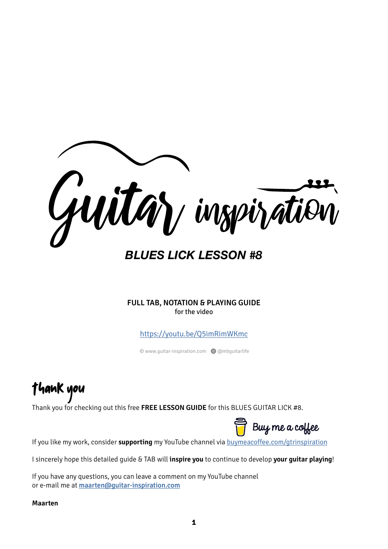

*BLUES LICK LESSON #8*

**FULL TAB, NOTATION & PLAYING GUIDE** for the video

<https://youtu.be/Q5imRimWKmc>

© www.guitar-inspiration.com Q @mbguitarlife

Thank you

Thank you for checking out this free **FREE LESSON GUIDE** for this BLUES GUITAR LICK #8.

Buy me a coffee

If you like my work, consider **supporting** my YouTube channel via [buymeacoffee.com/gtrinspiration](https://www.buymeacoffee.com/gtrinspiration)

I sincerely hope this detailed guide & TAB will **inspire you** to continue to develop **your guitar playing**!

If you have any questions, you can leave a comment on my YouTube channel or e-mail me at [maarten@guitar-inspiration.com](mailto:maarten@guitar-inspiration.com)

**Maarten**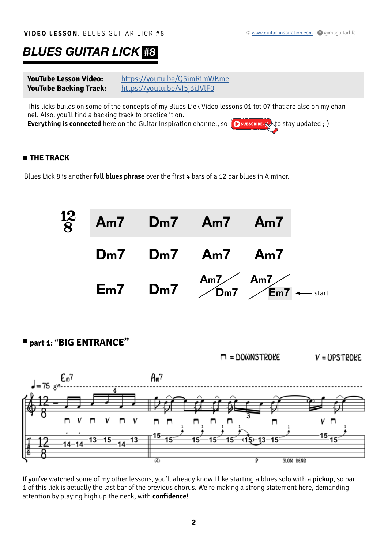## *BLUES GUITAR LICK #8*

**YouTube Lesson Video:** <https://youtu.be/Q5imRimWKmc> **YouTube Backing Track:** <https://youtu.be/vI5j3iJVlF0>

This licks builds on some of the concepts of my Blues Lick Video lessons 01 tot 07 that are also on my channel. Also, you'll find a backing track to practice it on.

**Everything is connected** here on the Guitar Inspiration channel, so **O**subscribe  $\hat{\mathbf{x}}$ , to stay updated ;-)

#### **THE TRACK**

Blues Lick 8 is another **full blues phrase** over the first 4 bars of a 12 bar blues in A minor.



**part 1: "BIG ENTRANCE"**



If you've watched some of my other lessons, you'll already know I like starting a blues solo with a **pickup**, so bar 1 of this lick is actually the last bar of the previous chorus. We're making a strong statement here, demanding attention by playing high up the neck, with **confidence**!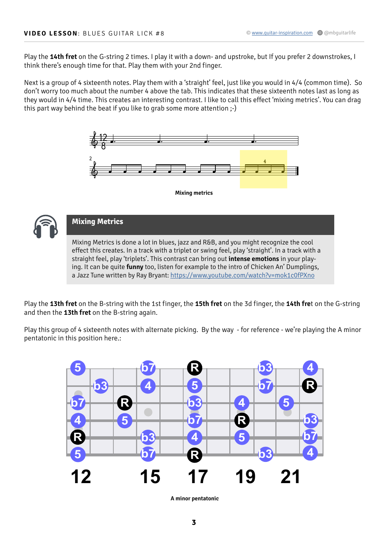Play the **14th fret** on the G-string 2 times. I play it with a down- and upstroke, but If you prefer 2 downstrokes, I think there's enough time for that. Play them with your 2nd finger.

Next is a group of 4 sixteenth notes. Play them with a 'straight' feel, just like you would in 4/4 (common time). So don't worry too much about the number 4 above the tab. This indicates that these sixteenth notes last as long as they would in 4/4 time. This creates an interesting contrast. I like to call this effect 'mixing metrics'. You can drag this part way behind the beat if you like to grab some more attention ;-)





#### **Mixing Metrics**

Mixing Metrics is done a lot in blues, jazz and R&B, and you might recognize the cool effect this creates. In a track with a triplet or swing feel, play 'straight'. In a track with a straight feel, play 'triplets'. This contrast can bring out **intense emotions** in your playing. It can be quite **funny** too, listen for example to the intro of Chicken An' Dumplings, a Jazz Tune written by Ray Bryant: <https://www.youtube.com/watch?v=mok1c0fPXno>

Play the **13th fret** on the B-string with the 1st finger, the **15th fret** on the 3d finger, the **14th fre**t on the G-string and then the **13th fret** on the B-string again.

Play this group of 4 sixteenth notes with alternate picking. By the way - for reference - we're playing the A minor pentatonic in this position here.:



**A minor pentatonic**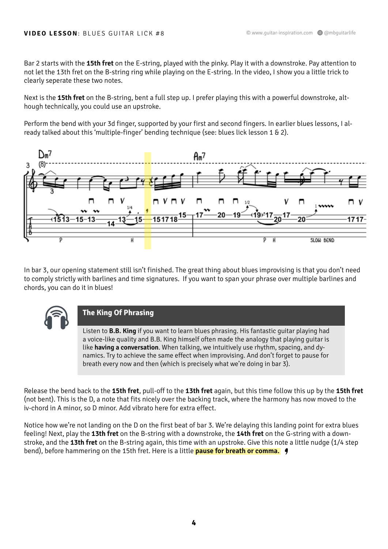Bar 2 starts with the **15th fret** on the E-string, played with the pinky. Play it with a downstroke. Pay attention to not let the 13th fret on the B-string ring while playing on the E-string. In the video, I show you a little trick to clearly seperate these two notes.

Next is the **15th fret** on the B-string, bent a full step up. I prefer playing this with a powerful downstroke, although technically, you could use an upstroke.

Perform the bend with your 3d finger, supported by your first and second fingers. In earlier blues lessons, I already talked about this 'multiple-finger' bending technique (see: blues lick lesson 1 & 2).



In bar 3, our opening statement still isn't finished. The great thing about blues improvising is that you don't need to comply strictly with barlines and time signatures. If you want to span your phrase over multiple barlines and chords, you can do it in blues!



#### **The King Of Phrasing**

Listen to **B.B. King** if you want to learn blues phrasing. His fantastic guitar playing had a voice-like quality and B.B. King himself often made the analogy that playing guitar is like **having a conversation**. When talking, we intuitively use rhythm, spacing, and dynamics. Try to achieve the same effect when improvising. And don't forget to pause for breath every now and then (which is precisely what we're doing in bar 3).

Release the bend back to the **15th fret**, pull-off to the **13th fret** again, but this time follow this up by the **15th fret**  (not bent). This is the D, a note that fits nicely over the backing track, where the harmony has now moved to the iv-chord in A minor, so D minor. Add vibrato here for extra effect.

Notice how we're not landing on the D on the first beat of bar 3. We're delaying this landing point for extra blues feeling! Next, play the **13th fret** on the B-string with a downstroke, the **14th fret** on the G-string with a downstroke, and the **13th fret** on the B-string again, this time with an upstroke. Give this note a little nudge (1/4 step bend), before hammering on the 15th fret. Here is a little **pause for breath or comma.** e<br>9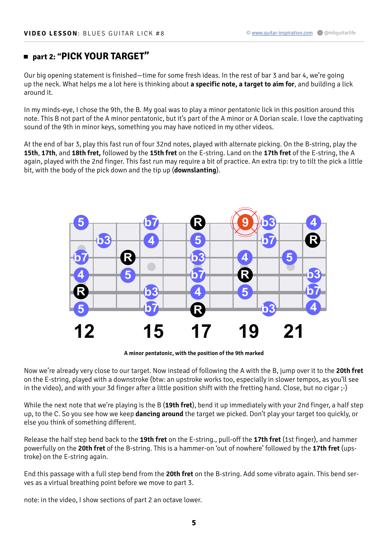### **part 2: "PICK YOUR TARGET"**

Our big opening statement is finished—time for some fresh ideas. In the rest of bar 3 and bar 4, we're going up the neck. What helps me a lot here is thinking about **a specific note, a target to aim for**, and building a lick around it.

In my minds-eye, I chose the 9th, the B. My goal was to play a minor pentatonic lick in this position around this note. This B not part of the A minor pentatonic, but it's part of the A minor or A Dorian scale. I love the captivating sound of the 9th in minor keys, something you may have noticed in my other videos.

At the end of bar 3, play this fast run of four 32nd notes, played with alternate picking. On the B-string, play the **15th**, **17th**, and **18th fret,** followed by the **15th fret** on the E-string. Land on the **17th fret** of the E-string, the A again, played with the 2nd finger. This fast run may require a bit of practice. An extra tip: try to tilt the pick a little bit, with the body of the pick down and the tip up (**downslanting**).



**A minor pentatonic, with the position of the 9th marked**

Now we're already very close to our target. Now instead of following the A with the B, jump over it to the **20th fret**  on the E-string, played with a downstroke (btw: an upstroke works too, especially in slower tempos, as you'll see in the video), and with your 3d finger after a little position shift with the fretting hand. Close, but no cigar ;-)

While the next note that we're playing is the B (**19th fret**), bend it up immediately with your 2nd finger, a half step up, to the C. So you see how we keep **dancing around** the target we picked. Don't play your target too quickly, or else you think of something different.

Release the half step bend back to the **19th fret** on the E-string., pull-off the **17th fret** (1st finger), and hammer powerfully on the **20th fret** of the B-string. This is a hammer-on 'out of nowhere' followed by the **17th fret** (upstroke) on the E-string again.

End this passage with a full step bend from the **20th fret** on the B-string. Add some vibrato again. This bend serves as a virtual breathing point before we move to part 3.

note: in the video, I show sections of part 2 an octave lower.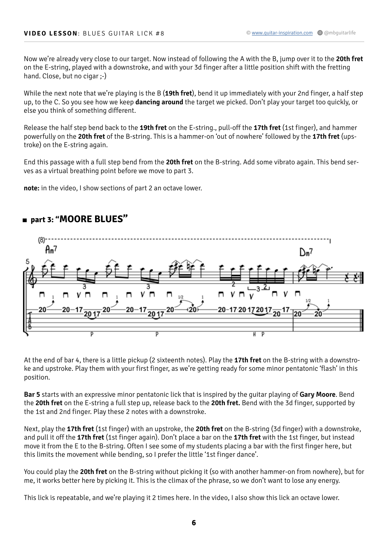Now we're already very close to our target. Now instead of following the A with the B, jump over it to the **20th fret**  on the E-string, played with a downstroke, and with your 3d finger after a little position shift with the fretting hand. Close, but no cigar ;-)

While the next note that we're playing is the B (**19th fret**), bend it up immediately with your 2nd finger, a half step up, to the C. So you see how we keep **dancing around** the target we picked. Don't play your target too quickly, or else you think of something different.

Release the half step bend back to the **19th fret** on the E-string., pull-off the **17th fret** (1st finger), and hammer powerfully on the **20th fret** of the B-string. This is a hammer-on 'out of nowhere' followed by the **17th fret** (upstroke) on the E-string again.

End this passage with a full step bend from the **20th fret** on the B-string. Add some vibrato again. This bend serves as a virtual breathing point before we move to part 3.

**note:** in the video, I show sections of part 2 an octave lower.



#### **part 3: "MOORE BLUES"**

At the end of bar 4, there is a little pickup (2 sixteenth notes). Play the **17th fret** on the B-string with a downstroke and upstroke. Play them with your first finger, as we're getting ready for some minor pentatonic 'flash' in this position.

**Bar 5** starts with an expressive minor pentatonic lick that is inspired by the guitar playing of **Gary Moore**. Bend the **20th fret** on the E-string a full step up, release back to the **20th fret.** Bend with the 3d finger, supported by the 1st and 2nd finger. Play these 2 notes with a downstroke.

Next, play the **17th fret** (1st finger) with an upstroke, the **20th fret** on the B-string (3d finger) with a downstroke, and pull it off the **17th fret** (1st finger again). Don't place a bar on the **17th fret** with the 1st finger, but instead move it from the E to the B-string. Often I see some of my students placing a bar with the first finger here, but this limits the movement while bending, so I prefer the little '1st finger dance'.

You could play the **20th fret** on the B-string without picking it (so with another hammer-on from nowhere), but for me, it works better here by picking it. This is the climax of the phrase, so we don't want to lose any energy.

This lick is repeatable, and we're playing it 2 times here. In the video, I also show this lick an octave lower.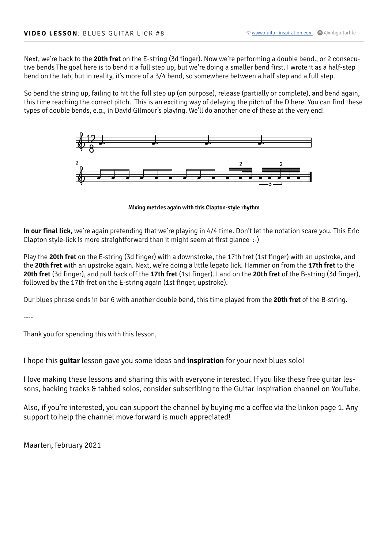Next, we're back to the **20th fret** on the E-string (3d finger). Now we're performing a double bend., or 2 consecutive bends The goal here is to bend it a full step up, but we're doing a smaller bend first. I wrote it as a half-step bend on the tab, but in reality, it's more of a 3/4 bend, so somewhere between a half step and a full step.

So bend the string up, failing to hit the full step up (on purpose), release (partially or complete), and bend again, this time reaching the correct pitch. This is an exciting way of delaying the pitch of the D here. You can find these types of double bends, e.g., in David Gilmour's playing. We'll do another one of these at the very end!



**Mixing metrics again with this Clapton-style rhythm**

**In our final lick,** we're again pretending that we're playing in 4/4 time. Don't let the notation scare you. This Eric Clapton style-lick is more straightforward than it might seem at first glance :-)

Play the **20th fret** on the E-string (3d finger) with a downstroke, the 17th fret (1st finger) with an upstroke, and the **20th fret** with an upstroke again. Next, we're doing a little legato lick. Hammer on from the **17th fret** to the **20th fret** (3d finger), and pull back off the **17th fret** (1st finger). Land on the **20th fret** of the B-string (3d finger), followed by the 17th fret on the E-string again (1st finger, upstroke).

Our blues phrase ends in bar 6 with another double bend, this time played from the **20th fret** of the B-string.

----

Thank you for spending this with this lesson,

I hope this **guitar** lesson gave you some ideas and **inspiration** for your next blues solo!

I love making these lessons and sharing this with everyone interested. If you like these free guitar lessons, backing tracks & tabbed solos, consider subscribing to the Guitar Inspiration channel on YouTube.

Also, if you're interested, you can support the channel by buying me a coffee via the linkon page 1. Any support to help the channel move forward is much appreciated!

Maarten, february 2021